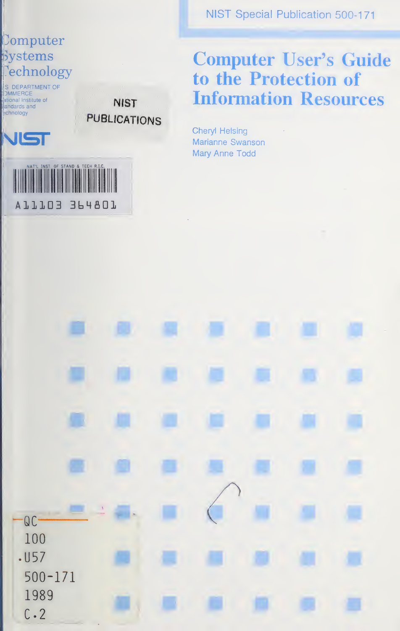Computer Systems **Technology** 

S DEPARTMENT OF ational Institute of andards and *echnology* 

**ALLLO3** 

**NIST PUBLICATIONS** 

364801



## **Computer User's Guide** to the Protection of **Information Resources**

**Cheryl Helsing** Marianne Swanson Mary Anne Todd

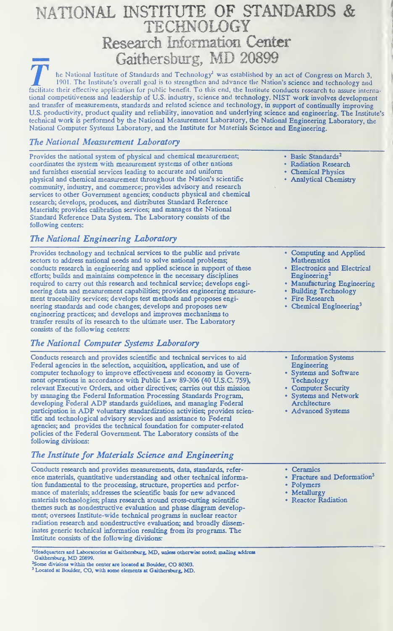## NATIONAL INSTITUTE OF STANDARDS & TECHNOLOGY Research Information Center<br>
Gaithersburg, MD 20899

he National Institute of Standards and Technology<sup>1</sup> was established by an act of Congress on March 3, 1901. The Institute's overall goal is to strengthen and advance the Nation's science and technology and facilitate their effective application for public benefit. To this end, the Institute conducts research to assure international competitiveness and leadership of U.S. industry, science and technology. NIST work involves development and transfer of measurements, standards and related science and technology, in support of continually improving U.S. productivity, product quality and reliability, innovation and underlying science and engineering. The Institute's technical work is performed by the National Measurement Laboratory, the National Engineering Laboratory, the National Computer Systems Laboratory, and the Institute for Materials Science and Engineering.

#### The National Measurement Laboratory

Provides the national system of physical and chemical measurement; coordinates the system with measurement systems of other nations and furnishes essential services leading to accurate and uniform physical and chemical measurement throughout the Nation's scientific community, industry, and commerce; provides advisory and research services to other Government agencies; conducts physical and chemical research; develops, produces, and distributes Standard Reference Materials; provides calibration services; and manages the National Standard Reference Data System. The Laboratory consists of the following centers:

#### The National Engineering Laboratory

Provides technology and technical services to the public and private sectors to address national needs and to solve national problems; conducts research in engineering and applied science in support of these efforts; builds and maintains competence in the necessary disciplines required to carry out this research and technical service; develops engineering data and measurement capabilities; provides engineering measure ment traceability services; develops test methods and proposes engineering standards and code changes; develops and proposes new engineering practices; and develops and improves mechanisms to transfer results of its research to the ultimate user. The Laboratory consists of the following centers:

#### The National Computer Systems Laboratory

Conducts research and provides scientific and technical services to aid Federal agencies in the selection, acquisition, application, and use of computer technology to improve effectiveness and economy in Government operations in accordance with Public Law 89-306 (40 U.S.C. 759), relevant Executive Orders, and other directives; carries out this mission by managing the Federal Information Processing Standards Program, developing Federal ADP standards guidelines, and managing Federal participation in ADP voluntary standardization activities; provides scientific and technological advisory services and assistance to Federal agencies; and provides the technical foundation for computer-related policies of the Federal Government The Laboratory consists of the following divisions:

#### The Institute for Materials Science and Engineering

Conducts research and provides measurements, data, standards, refer ence materials, quantitative understanding and other technical information fundamental to the processing, structure, properties and perfor mance of materials; addresses the scientific basis for new advanced materials technologies; plans research around cross-cutting scientific themes such as nondestructive evaluation and phase diagram development; oversees Institute-wide technical programs in nuclear reactor radiation research and nondestructive evaluation; and broadly disseminates generic technical information resulting from its programs. The Institute consists of the following divisions;

<sup>1</sup>Headquarters and Laboratories at Gaithersburg, MD, unless otherwise noted; mailing address Gaithersburg, MD 20899.

' Located at Boulder, CO, with tome elements at Gaithersburg. MD.

- Basic Standards<sup>2</sup>
- Radiation Research
- Chemical Physics
- Analytical Chemistry

- Computing and Applied **Mathematics**
- Electronics and Electrical Engineering<sup>2</sup>
- Manufacturing Engineering
- Building Technology
- Fire Research
- Chemical Engineering''
- Information Systems Engineering
- Systems and Software Technology
- Computer Security
- Systems and Network Architecture
- Advanced Systems
- Ceramics
- Fracture and Deformation<sup>3</sup>
- Polymers
- Metallurgy
- Reactor Radiation

<sup>&</sup>lt;sup>2</sup>Some divisions within the center are located at Boulder, CO 80303.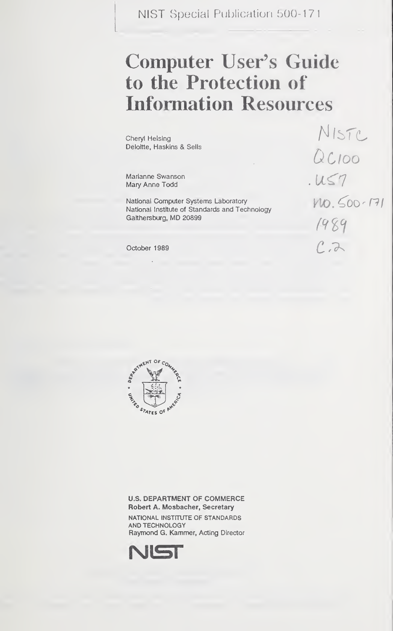NIST Special Publication 500-171

## Computer User's Guide to the Protection of Information Resources

Cheryl Helslng Deloltte, Haskins & Sells

Marianne Swanson Mary Anne Todd

National Computer Systems Laboratory National Institute of Standards and Technology Gaithersburg, MD 20899

October 1989

NISTC  $QCOO$  $u57$ MO. 500-171 1989  $1.7$ 



U.S. DEPARTMENT OF COMMERCE Robert A. Mosbacher, Secretary NATIONAL INSTITUTE OF STANDARDS AND TECHNOLOGY Raymond G. Kammer, Acting Director

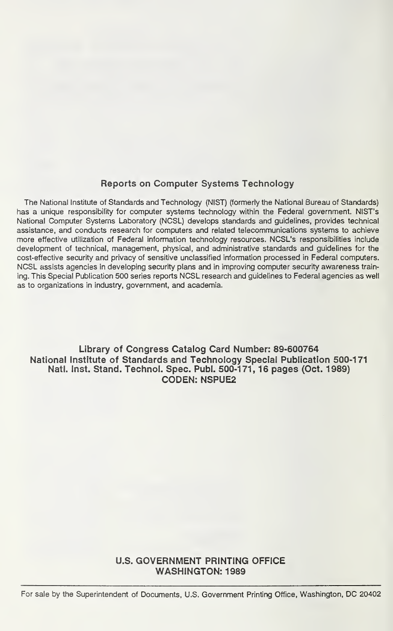#### Reports on Computer Systems Technology

The National Institute of Standards and Technology (NIST) (formerly the National Bureau of Standards) has a unique responsibility for computer systems technology within the Federal government. NIST's National Computer Systems Laboratory (NCSL) develops standards and guidelines, provides technical assistance, and conducts research for computers and related telecommunications systems to achieve more effective utilization of Federal information technology resources, NCSL's responsibilities include development of technical, management, physical, and administrative standards and guidelines for the cost-effective security and privacy of sensitive unclassified information processed in Federal computers. NCSL assists agencies in developing security plans and in improving computer security awareness training. This Special Publication 500 series reports NCSL research and guidelines to Federal agencies as well as to organizations in industry, government, and academia.

#### Library of Congress Catalog Card Number: 89-600764 National Institute of Standards and Technology Special Publication 500-171 Natl. Inst. Stand. Technol. Spec. Publ. 500-171, 16 pages (Oct. 1989) CODEN: NSPUE2

#### U.S. GOVERNMENT PRINTING OFFICE WASHINGTON: 1989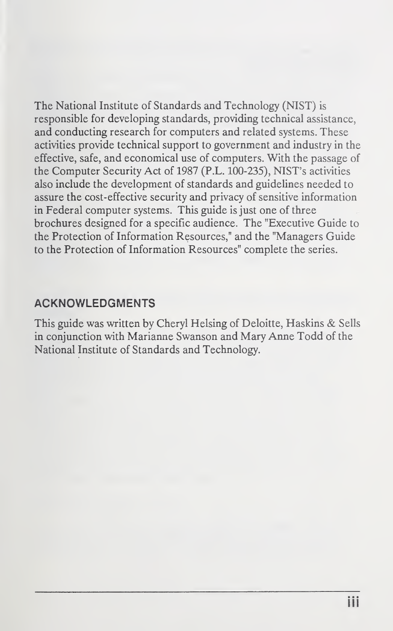The National Institute of Standards and Technology (NIST) is responsible for developing standards, providing technical assistance, and conducting research for computers and related systems. These activities provide technical support to government and industry in the effective, safe, and economical use of computers. With the passage of the Computer Security Act of 1987 (P.L. 100-235), NIST's activities also include the development of standards and guidelines needed to assure the cost-effective security and privacy of sensitive information in Federal computer systems. This guide is just one of three brochures designed for a specific audience. The "Executive Guide to the Protection of Information Resources," and the "Managers Guide to the Protection of Information Resources" complete the series.

#### ACKNOWLEDGMENTS

This guide was written by Cheryl Helsing of Deloitte, Haskins & Sells in conjunction with Marianne Swanson and Mary Anne Todd of the National Institute of Standards and Technology.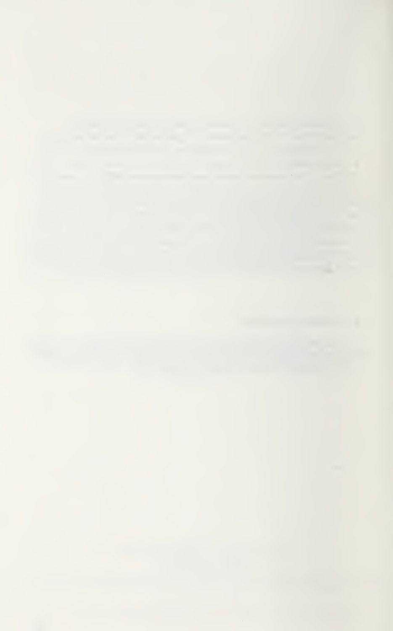| $\sim 10^{-1}$ |  |  |
|----------------|--|--|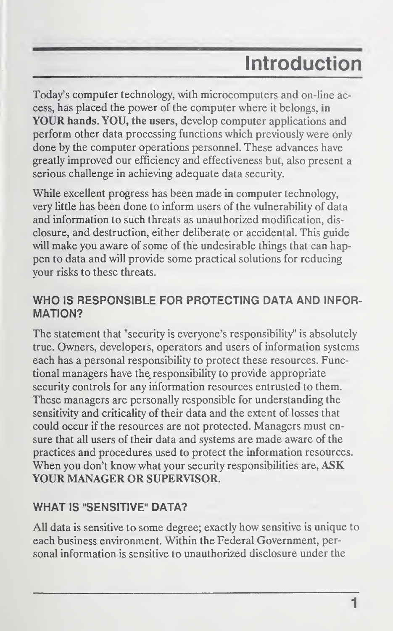## Introduction

Today's computer technology, with microcomputers and on-line access, has placed the power of the computer where it belongs, in YOUR hands. YOU, the users, develop computer applications and perform other data processing functions which previously were only done by the computer operations personnel. These advances have greatly improved our efficiency and effectiveness but, also present a serious challenge in achieving adequate data security.

While excellent progress has been made in computer technology, very little has been done to inform users of the vulnerability of data and information to such threats as unauthorized modification, disclosure, and destruction, either deliberate or accidental. This guide will make you aware of some of the undesirable things that can happen to data and will provide some practical solutions for reducing your risks to these threats.

#### WHO IS RESPONSIBLE FOR PROTECTING DATA AND INFOR-MATION?

The statement that "security is everyone's responsibility" is absolutely true. Owners, developers, operators and users of information systems each has a personal responsibihty to protect these resources. Functional managers have the responsibility to provide appropriate security controls for any information resources entrusted to them. These managers are personally responsible for understanding the sensitivity and criticality of their data and the extent of losses that could occur if the resources are not protected. Managers must ensure that all users of their data and systems are made aware of the practices and procedures used to protect the information resources. When you don't know what your security responsibilities are, ASK YOUR MANAGER OR SUPERVISOR.

### WHAT IS "SENSITIVE" DATA?

All data is sensitive to some degree; exactly how sensitive is unique to each business environment. Within the Federal Government, personal information is sensitive to unauthorized disclosure under the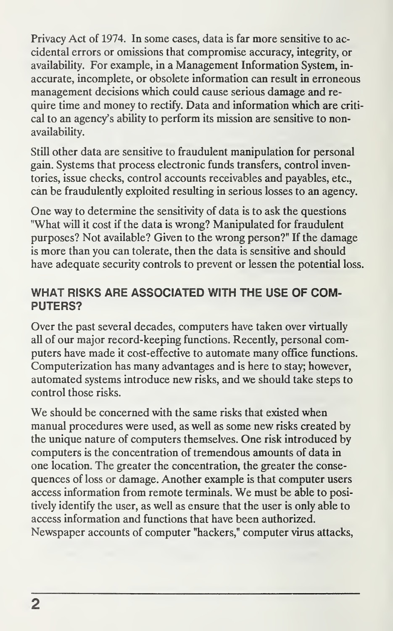Privacy Act of 1974. In some cases, data is far more sensitive to ac cidental errors or omissions that compromise accuracy, integrity, or availability. For example, in a Management Information System, inaccurate, incomplete, or obsolete information can result in erroneous management decisions which could cause serious damage and re quire time and money to rectify. Data and information which are critical to an agency's ability to perform its mission are sensitive to nonavailability.

Still other data are sensitive to fraudulent mamipulation for personal gain. Systems that process electronic funds transfers, control inventories, issue checks, control accounts receivables and payables, etc., cam be fraudulently exploited resulting in serious losses to an agency.

One way to determine the sensitivity of data is to ask the questions "What will it cost if the data is wrong? Manipulated for fraudulent purposes? Not available? Given to the wrong person?" If the damiage is more than you can tolerate, then the data is sensitive and should have adequate security controls to prevent or lessen the potential loss.

#### WHAT RISKS ARE ASSOCIATED WITH THE USE OF COM-PUTERS?

Over the past several decades, computers have taken over virtually all of our major record-keeping functions. Recently, personal computers have made it cost-effective to automate many office functions. Computerization has many advantages and is here to stay; however, automated systems introduce new risks, and we should take steps to control those risks.

We should be concerned with the same risks that existed when manual procedures were used, as well as some new risks created by the unique nature of computers themselves. One risk introduced by computers is the concentration of tremendous amounts of data in one location. The greater the concentration, the greater the consequences of loss or damage. Another example is that computer users access information from remote terminads. We must be able to positively identify the user, as well as ensure that the user is only able to access information and functions that have been authorized. Newspaper accounts of computer "hackers," computer virus attacks.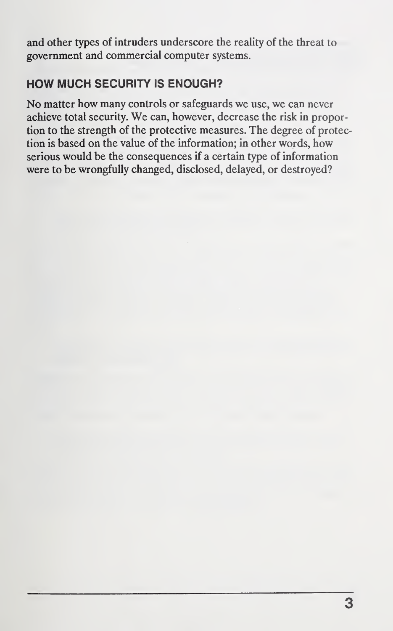and other types of intruders underscore the reahty of the threat to government and commercial computer systems.

## HOW MUCH SECURITY IS ENOUGH?

No matter how many controls or safeguards we use, we can never achieve total security. We can, however, decrease the risk in proportion to the strength of the protective measures. The degree of protection is based on the value of the information; in other words, how serious would be the consequences if a certain type of information were to be wrongfully changed, disclosed, delayed, or destroyed?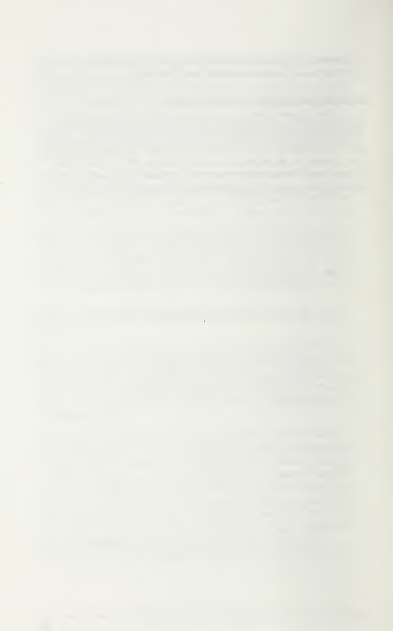|    |                                              |                                             |                   | the company of the company of the company of                                                                                                                                                                                         |                                                                                                                         |
|----|----------------------------------------------|---------------------------------------------|-------------------|--------------------------------------------------------------------------------------------------------------------------------------------------------------------------------------------------------------------------------------|-------------------------------------------------------------------------------------------------------------------------|
|    |                                              |                                             |                   | and the second control of the second                                                                                                                                                                                                 |                                                                                                                         |
|    |                                              |                                             |                   |                                                                                                                                                                                                                                      |                                                                                                                         |
|    |                                              |                                             |                   |                                                                                                                                                                                                                                      |                                                                                                                         |
|    |                                              |                                             |                   |                                                                                                                                                                                                                                      |                                                                                                                         |
| W, | the company of the company of the company of |                                             |                   |                                                                                                                                                                                                                                      |                                                                                                                         |
|    |                                              |                                             |                   |                                                                                                                                                                                                                                      | the control of the control of the control<br>the control of the control of the control of the control of the control of |
|    |                                              | <u>a sa salah sahiji désa di kacamatan </u> | <u>i (Seri Ka</u> |                                                                                                                                                                                                                                      |                                                                                                                         |
|    |                                              |                                             |                   |                                                                                                                                                                                                                                      |                                                                                                                         |
|    |                                              |                                             |                   |                                                                                                                                                                                                                                      |                                                                                                                         |
|    |                                              |                                             |                   |                                                                                                                                                                                                                                      |                                                                                                                         |
|    |                                              |                                             |                   |                                                                                                                                                                                                                                      |                                                                                                                         |
|    |                                              | $\epsilon$                                  |                   |                                                                                                                                                                                                                                      |                                                                                                                         |
|    |                                              |                                             |                   |                                                                                                                                                                                                                                      |                                                                                                                         |
|    |                                              |                                             |                   |                                                                                                                                                                                                                                      |                                                                                                                         |
|    |                                              |                                             |                   |                                                                                                                                                                                                                                      | <b>State</b>                                                                                                            |
|    |                                              |                                             |                   |                                                                                                                                                                                                                                      |                                                                                                                         |
|    |                                              |                                             |                   |                                                                                                                                                                                                                                      |                                                                                                                         |
|    |                                              |                                             |                   | <u>to a strong part of the strong part of the strong part of the strong part of the strong part of the strong part of the strong part of the strong part of the strong part of the strong part of the strong part of the strong </u> |                                                                                                                         |
|    |                                              |                                             |                   |                                                                                                                                                                                                                                      |                                                                                                                         |
|    |                                              |                                             |                   |                                                                                                                                                                                                                                      |                                                                                                                         |
|    |                                              |                                             |                   | <b>RIA-</b>                                                                                                                                                                                                                          |                                                                                                                         |
|    |                                              |                                             |                   |                                                                                                                                                                                                                                      |                                                                                                                         |
|    |                                              |                                             |                   |                                                                                                                                                                                                                                      |                                                                                                                         |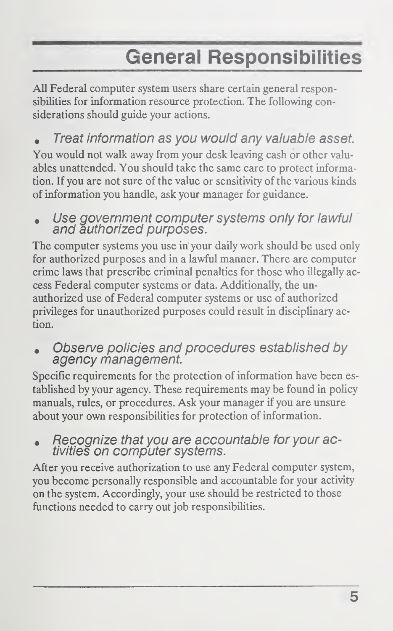# General Responsibilities

All Federal computer system users share certain general responsibilities for information resource protection. The following considerations should guide your actions.

• Treat information as you would any valuable asset. You would not walk away from your desk leaving cash or other valuables unattended. You should take the same care to protect information. If you are not sure of the value or sensitivity of the various kinds of information you handle, ask your manager for guidance.

Use government computer systems only for lawful and authorized purposes.

The computer systems you use in your daily work should be used only for authorized purposes and in a lawful manner. There are computer crime laws that prescribe criminal penalties for those who illegally ac cess Federal computer systems or data. Additionally, the unauthorized use of Federal computer systems or use of authorized privileges for unauthorized purposes could result in disciplinary action.

Observe policies and procedures established by agency management.

Specific requirements for the protection of information have been es tablished by your agency. These requirements may be found in policy manuals, rules, or procedures. Ask your manager if you are unsure about your own responsibihties for protection of information.

#### • Recognize that you are accountable for your activities on computer systems.

After you receive authorization to use any Federal computer system, you become personally responsible and accountable for your activity on the system. Accordingly, your use should be restricted to those functions needed to carry out job responsibilities.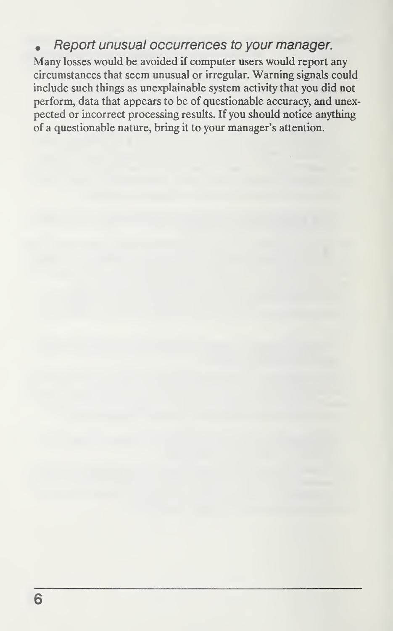### • Report unusual occurrences to your manager.

Many losses would be avoided if computer users would report any circumstances that seem unusual or irregular. Warning signals could include such things as unexplainable system activity that you did not perform, data that appears to be of questionable accuracy, and unexpected or incorrect processing results. If you should notice anything of a questionable nature, bring it to your manager's attention.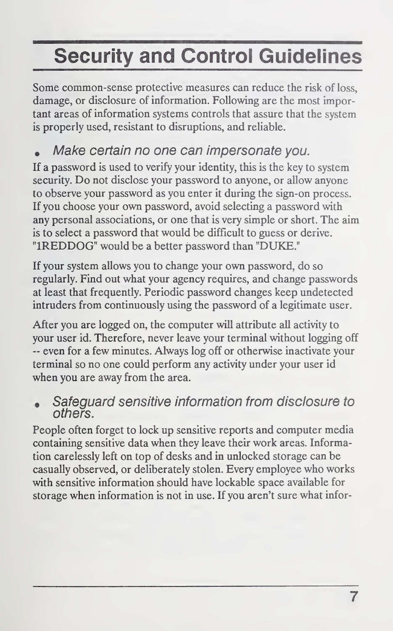# Security and Control Guidelines

Some common-sense protective measures can reduce the risk of loss, damage, or disclosure of information. Following are the most important areas of information systems controls that assure that the system is properly used, resistant to disruptions, and reliable.

## • Make certain no one can impersonate you.

If a password is used to verify your identity, this is the key to system security. Do not disclose your password to anyone, or allow anyone to observe your password as you enter it during the sign-on process. If you choose your own password, avoid selecting a password with any personal associations, or one that is very simple or short. The aim is to select a password that would be difficult to guess or derive. "IREDDOG" would be <sup>a</sup> better password than "DUKE."

If your system allows you to change your own password, do so regularly. Find out what your agency requires, and change passwords at least that frequently. Periodic password changes keep undetected intruders from continuously using the password of a legitimate user.

After you are logged on, the computer will attribute all activity to your user id. Therefore, never leave your terminal without logging off — even for a few minutes. Always log off or otherwise inactivate your terminal so no one could perform any activity under your user id when you are away from the area.

### • Safeguard sensitive information from disclosure to others.

People often forget to lock up sensitive reports and computer media containing sensitive data when they leave their work areas. Information carelessly left on top of desks and in unlocked storage can be casually observed, or deliberately stolen. Every employee who works with sensitive information should have lockable space available for storage when information is not in use. If you aren't sure what infor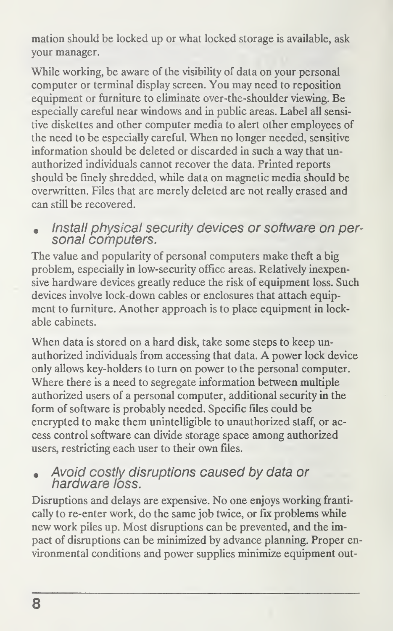mation should be locked up or what locked storage is available, ask your manager.

While working, be aware of the visibility of data on your personal computer or terminal display screen. You may need to reposition equipment or furniture to eliminate over-the-shoulder viewing. Be especially careful near windows and in public areas. Label all sensitive diskettes and other computer media to alert other employees of the need to be especially careful. When no longer needed, sensitive information should be deleted or discarded in such a way that unauthorized individuals cannot recover the data. Printed reports should be finely shredded, while data on magnetic media should be overwritten. Files that are merely deleted are not really erased and can still be recovered.

#### • Install physical security devices or software on personal computers.

The value and popularity of personal computers make theft a big problem, especially in low-security office areas. Relatively inexpensive hardware devices greatly reduce the risk of equipment loss. Such devices involve lock-down cables or enclosures that attach equipment to furniture. Another approach is to place equipment in lockable cabinets.

When data is stored on a hard disk, take some steps to keep unauthorized individuals from accessing that data. A power lock device only allows key-holders to turn on power to the personal computer. Where there is a need to segregate information between multiple authorized users of a personad computer, additional security in the form of software is probably needed. Specific files could be encrypted to make them unintelligible to unauthorized staff, or ac cess control software can divide storage space among authorized users, restricting each user to their own files.

#### • Avoid costly disruptions caused by data or hardware loss.

Disruptions and delays are expensive. No one enjoys working frantically to re-enter work, do the same job twice, or fix problems while new work piles up. Most disruptions can be prevented, and the impact of disruptions can be minimized by advance planning. Proper environmental conditions and power supplies minimize equipment out-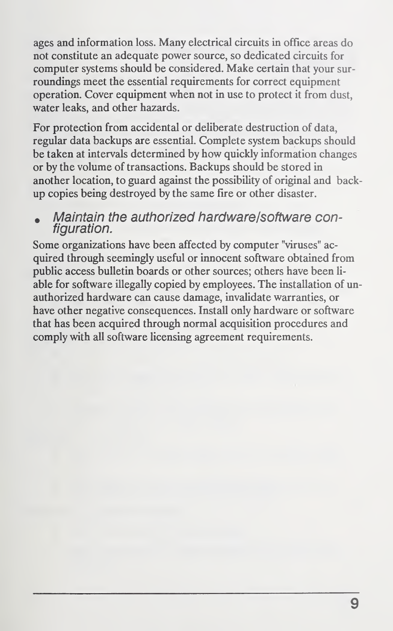ages and information loss. Many electrical circuits in office areas do not constitute an adequate power source, so dedicated circuits for computer systems should be considered. Make certain that your surroundings meet the essential requirements for correct equipment operation. Cover equipment when not in use to protect it from dust, water leaks, and other hazards.

For protection from accidental or deliberate destruction of data, regular data backups are essential. Complete system backups should be taken at intervals determined by how quickly information changes or by the volume of transactions. Backups should be stored in another location, to guard against the possibility of original and backup copies being destroyed by the same fire or other disaster.

#### Maintain the authorized hardware/software configuration.

Some organizations have been affected by computer "viruses" ac quired through seemingly useful or innocent software obtained from public access bulletin boards or other sources; others have been liable for software illegally copied by employees. The installation of unauthorized hardware can cause damage, invalidate warranties, or have other negative consequences. Install only hardware or software that has been acquired through normal acquisition procedures and comply with all software licensing agreement requirements.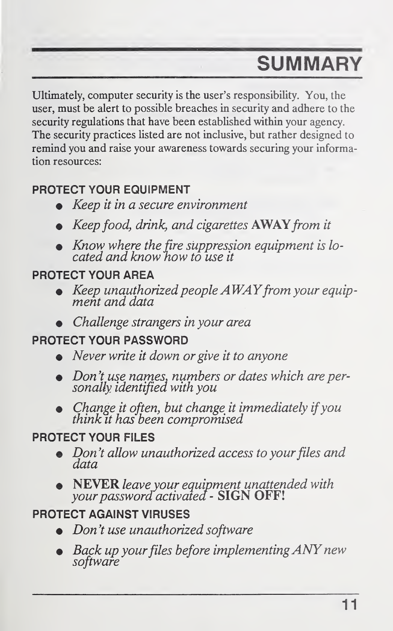# SUMMARY

Ultimately, computer security is the user's responsibility. You, the user, must be alert to possible breaches in security and adhere to the security regulations that have been established within your agency. The security practices listed are not inclusive, but rather designed to remind you and raise your awareness towards securing your information resources:

## PROTECT YOUR EQUIPMENT

- Keep it in a secure environment
- Keep food, drink, and cigarettes AWAY from it
- Know where the fire suppression equipment is located and know how to use it

## PROTECT YOUR AREA

- $\bullet$  Keep unauthorized people AWAY from your equipment and data
- Challenge strangers in your area

## PROTECT YOUR PASSWORD

- Never write it down or give it to anyone
- Don 't use names, numbers or dates which are personally identified with you
- $\bullet$  Change it often, but change it immediately if you think It has been compromised

## PROTECT YOUR FILES

- Don't allow unauthorized access to your files and data
- NEVER leave your equipment unattended with your password activated - SIGN OFF!

## PROTECT AGAINST VIRUSES

- Don't use unauthorized software
- Back up your files before implementing ANY new software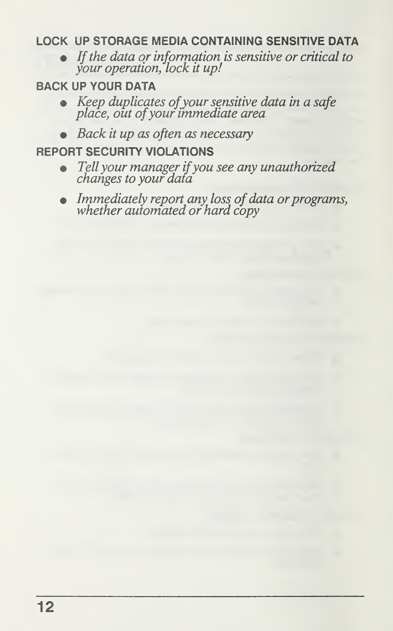#### LOCK UP STORAGE MEDIA CONTAINING SENSITIVE DATA

 $\bullet$  If the data or information is sensitive or critical to  $\hspace{0.1mm}$ your operation, lock it up!

## BACK UP YOUR DATA

- $\bullet$  Keep duplicates of your sensitive data in a safe place, out of your immediate area
- Back it up as often as necessary

#### REPORT SECURITY VIOLATIONS

- $\bullet$  Tell your manager if you see any unauthorized changes to your data
- $\bullet$  -Immediately report any loss of data or programs, whether automated or hard copy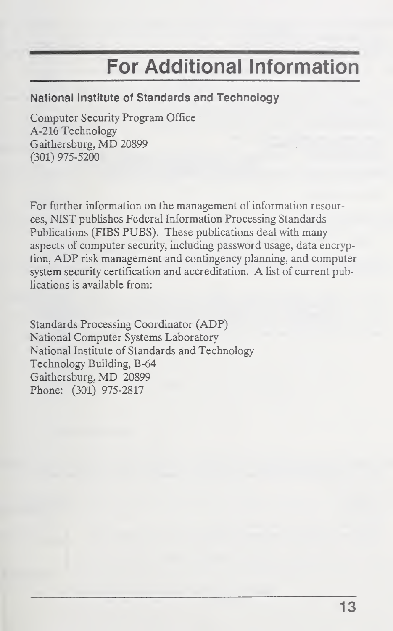# For Additional Information

#### National Institute of Standards and Technology

Computer Security Program Office A-216 Technology Gaithersburg, MD <sup>20899</sup> (301) 975-5200

For further information on the management of information resources, NIST publishes Federal Information Processing Standards Publications (FIBS PUBS). These publications deal with many aspects of computer security, including password usage, data encryption, ADP risk management and contingency planning, and computer system security certification and accreditation. A list of current publications is available from:

Standards Processing Coordinator (ADP) National Computer Systems Laboratory National Institute of Standards and Technology Technology Building, B-64 Gaithersburg, MD <sup>20899</sup> Phone: (301) 975-2817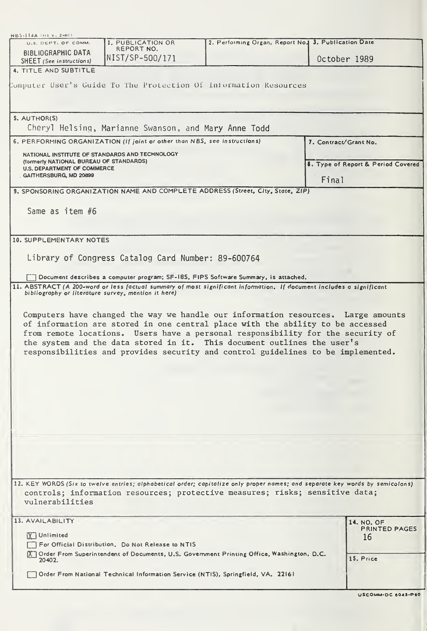| NBS-114A (HEV. 2-80)                                                      |                                                      |                                                                                                                                                                                                                                                                                                                                                                                                                                                                                                                                                                                                                                        |                                    |
|---------------------------------------------------------------------------|------------------------------------------------------|----------------------------------------------------------------------------------------------------------------------------------------------------------------------------------------------------------------------------------------------------------------------------------------------------------------------------------------------------------------------------------------------------------------------------------------------------------------------------------------------------------------------------------------------------------------------------------------------------------------------------------------|------------------------------------|
| U.S. DEPT. OF COMM.                                                       | 1. PUBLICATION OR<br>REPORT NO.                      | 2. Performing Organ. Report No.1 3. Publication Date                                                                                                                                                                                                                                                                                                                                                                                                                                                                                                                                                                                   |                                    |
| <b>BIBLIOGRAPHIC DATA</b><br>SHEET (See instructions)                     | NIST/SP-500/171                                      |                                                                                                                                                                                                                                                                                                                                                                                                                                                                                                                                                                                                                                        | October 1989                       |
| 4. TITLE AND SUBTITLE                                                     |                                                      |                                                                                                                                                                                                                                                                                                                                                                                                                                                                                                                                                                                                                                        |                                    |
|                                                                           |                                                      | Computer User's Guide To The Protection Of Information Resources                                                                                                                                                                                                                                                                                                                                                                                                                                                                                                                                                                       |                                    |
| 5. AUTHOR(S)                                                              | Cheryl Helsing, Marianne Swanson, and Mary Anne Todd |                                                                                                                                                                                                                                                                                                                                                                                                                                                                                                                                                                                                                                        |                                    |
| 6. PERFORMING ORGANIZATION (If joint or other than NBS, see instructions) |                                                      |                                                                                                                                                                                                                                                                                                                                                                                                                                                                                                                                                                                                                                        | 7. Contract/Grant No.              |
| NATIONAL INSTITUTE OF STANDARDS AND TECHNOLOGY                            |                                                      |                                                                                                                                                                                                                                                                                                                                                                                                                                                                                                                                                                                                                                        |                                    |
| (formerly NATIONAL BUREAU OF STANDARDS)<br>U.S. DEPARTMENT OF COMMERCE    |                                                      |                                                                                                                                                                                                                                                                                                                                                                                                                                                                                                                                                                                                                                        | 8. Type of Report & Period Covered |
| GAITHERSBURG, MD 20899                                                    |                                                      |                                                                                                                                                                                                                                                                                                                                                                                                                                                                                                                                                                                                                                        | Final                              |
|                                                                           |                                                      | 9. SPONSORING ORGANIZATION NAME AND COMPLETE ADDRESS (Street, City, State, ZIP)                                                                                                                                                                                                                                                                                                                                                                                                                                                                                                                                                        |                                    |
|                                                                           |                                                      |                                                                                                                                                                                                                                                                                                                                                                                                                                                                                                                                                                                                                                        |                                    |
| Same as item #6                                                           |                                                      |                                                                                                                                                                                                                                                                                                                                                                                                                                                                                                                                                                                                                                        |                                    |
|                                                                           |                                                      |                                                                                                                                                                                                                                                                                                                                                                                                                                                                                                                                                                                                                                        |                                    |
|                                                                           |                                                      |                                                                                                                                                                                                                                                                                                                                                                                                                                                                                                                                                                                                                                        |                                    |
| 10. SUPPLEMENTARY NOTES                                                   |                                                      |                                                                                                                                                                                                                                                                                                                                                                                                                                                                                                                                                                                                                                        |                                    |
|                                                                           | Library of Congress Catalog Card Number: 89-600764   |                                                                                                                                                                                                                                                                                                                                                                                                                                                                                                                                                                                                                                        |                                    |
|                                                                           |                                                      |                                                                                                                                                                                                                                                                                                                                                                                                                                                                                                                                                                                                                                        |                                    |
|                                                                           |                                                      | Document describes a computer program; SF-185, FIPS Software Summary, is attached.                                                                                                                                                                                                                                                                                                                                                                                                                                                                                                                                                     |                                    |
|                                                                           |                                                      | 11. ABSTRACT (A 200-word or less factual summary of most significant information. If document includes a significant                                                                                                                                                                                                                                                                                                                                                                                                                                                                                                                   |                                    |
| bibliography or literature survey, mention it here)                       |                                                      |                                                                                                                                                                                                                                                                                                                                                                                                                                                                                                                                                                                                                                        |                                    |
|                                                                           |                                                      | Computers have changed the way we handle our information resources. Large amounts<br>of information are stored in one central place with the ability to be accessed<br>from remote locations. Users have a personal responsibility for the security of<br>the system and the data stored in it. This document outlines the user's<br>responsibilities and provides security and control guidelines to be implemented.<br>12. KEY WORDS (Six to twelve entries; alphabetical order; capitalize only proper names; and separate key words by semicolons)<br>controls; information resources; protective measures; risks; sensitive data; |                                    |
| vulnerabilities                                                           |                                                      |                                                                                                                                                                                                                                                                                                                                                                                                                                                                                                                                                                                                                                        |                                    |
| 13. AVAILABILITY                                                          |                                                      |                                                                                                                                                                                                                                                                                                                                                                                                                                                                                                                                                                                                                                        | 14. NO. OF<br>PRINTED PAGES        |
| $\sqrt{1}$ Unlimited                                                      |                                                      |                                                                                                                                                                                                                                                                                                                                                                                                                                                                                                                                                                                                                                        | 16                                 |
|                                                                           | For Official Distribution. Do Not Release to NTIS    |                                                                                                                                                                                                                                                                                                                                                                                                                                                                                                                                                                                                                                        |                                    |
| 20402.                                                                    |                                                      | X Order From Superintendent of Documents, U.S. Government Printing Office, Washington, D.C.                                                                                                                                                                                                                                                                                                                                                                                                                                                                                                                                            | 15. Price                          |
|                                                                           |                                                      | Order From National Technical Information Service (NTIS), Springfield, VA. 22161                                                                                                                                                                                                                                                                                                                                                                                                                                                                                                                                                       |                                    |
|                                                                           |                                                      |                                                                                                                                                                                                                                                                                                                                                                                                                                                                                                                                                                                                                                        | USCOMM-DC 6043-P80                 |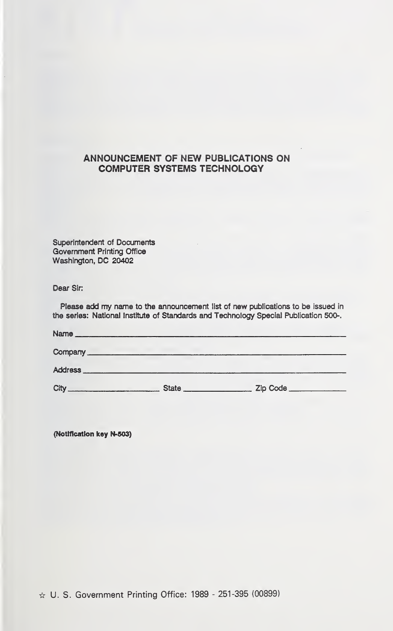#### ANNOUNCEMENT OF NEW PUBLICATIONS ON COMPUTER SYSTEMS TECHNOLOGY

Superintendent of Documents Government Printing Office Washington. DC 20402

Dear Sir:

Please add my name to the announcement list of new publications to be issued in the series: National Institute of Standards and Technology Special Publication 500-.

| Name           | <u> 1990 - Johann John Harry Harry Harry Harry Harry Harry Harry Harry Harry Harry Harry Harry Harry Harry Harry H</u>                                                                                                        |          |                              |
|----------------|-------------------------------------------------------------------------------------------------------------------------------------------------------------------------------------------------------------------------------|----------|------------------------------|
|                |                                                                                                                                                                                                                               |          |                              |
| <b>Address</b> | the company of the company of the company of the company of the company of the company of the company of the company of the company of the company of the company of the company of the company of the company of the company |          |                              |
| City           | <b>State</b>                                                                                                                                                                                                                  | Zip Code | <u> 1980 - Jan Barbara a</u> |

(Notification key H-503)

 $\hat{x}$  U. S. Government Printing Office: 1989 - 251-395 (00899)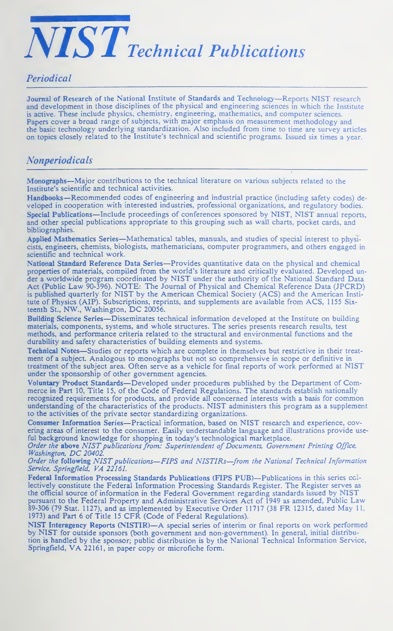

#### Periodical

Journal of Research of the National Institute of Standards and Technology—Reports NIST research and development in those disciplines of the physical and engineering sciences in which the Institute is active. These include physics, chemistry, engineering, mathematics, and computer sciences. Papers cover a broad range of subjects, with major emphasis on measurement methodology and the basic technology underlying standardization. Also included from time to time are survey articles on topics closely related to the Institute's technical and scientific programs. Issued six times a year.

#### **Nonperiodicals**

Monographs—Major contributions to the technical literature on various subjects related to the Institute's scientific and technical activities.

Handbooks—Recommended codes of engineering and industrial practice (including safety codes) de veloped in cooperation with interested industries, professional organizations, and regulatory bodies. Special Publications—Include proceedings of conferences sponsored by NIST, NIST annual reports, and other special publications appropriate to this grouping such as wall charts, pocket cards, and bibliographies.

Applied Mathematics Series—Mathematical tables, manuals, and studies of special interest to physicists, engineers, chemists, biologists, mathematicians, computer programmers, and others engaged in scientific and technical work.

National Standard Reference Data Series—Provides quantitative data on the physical and chemical properties of materials, compiled from the world's literature and critically evaluated. Developed un der <sup>a</sup> worldwide program coordinated by NIST under the authority of the National Standard Data Act (Public Law 90-396). NOTE: The Journal of Physical and Chemical Reference Data (JPCRD) is pubhshed quarterly for NIST by the American Chemical Society (ACS) and the American Insti tute of Physics (AIP). Subscriptions, reprints, and supplements are available from ACS, 1155 Six teenth St., NW., Washington, DC 20056.

Building Science Series—Disseminates technical information developed at the Institute on building materials, components, systems, and whole structures. The series presents research results, test methods, and performance criteria related to the structural and environmental functions and the durability and safety characteristics of building elements and systems.

Technical Notes—Studies or reports which are complete in themselves but restrictive in their treat- ment of <sup>a</sup> subject. Analogous to monographs but not so comprehensive in scope or definitive in treatment of the subject area. Often serve as <sup>a</sup> vehicle for final reports of work performed at NIST under the sponsorship of other government agencies.

Voluntary Product Standards—Developed under procedures published by the Department of Commerce in Part 10, Title 15, of the Code of Federal Regulations. The standards establish nationally recognized requirements for products, and provide all concerned interests with <sup>a</sup> basis for common understanding of the characteristics of the products. NIST administers this program as <sup>a</sup> supplement to the activities of the private sector standardizing organizations.

Consumer Information Series—Practical information, based on NIST research and experience, covering areas of interest to the consumer. Easily understandable language and illustrations provide useful background knowledge for shopping in today's technological marketplace.

Order the above NIST publications from: Superintendent of Documents, Government Printing Office, Washington, DC 20402.

washington, DC 20402.<br>Order the following NIST publications—FIPS and NISTIRs—from the National Technical Information Service, Springfield, VA 22161.

Federal Information Processing Standards Publications (FIPS PUB)—Publications in this series col lectively constitute the Federal Information Processing Standards Register. The Register serves as the official source of information in the Federal Government regarding standards issued by NIST pursuant to the Federal Property and Administrative Services Act of <sup>1949</sup> as amended, Public Law 89-306 (79 Stat. 1127), and as implemented by Executive Order <sup>11717</sup> (38 FR 12315, dated May 11, 1973) and Part <sup>6</sup> of Title <sup>15</sup> CFR (Code of Federal Regulations).

NIST Interagency Reports CNISTIR)—A special series of interim or final reports on work performed by NIST for outside sponsors (both government and non-government). In general, initial distribution is handled by the sponsor; public distribution is by the National Technical Information Service, Springfield, VA 22161, in paper copy or microfiche form.